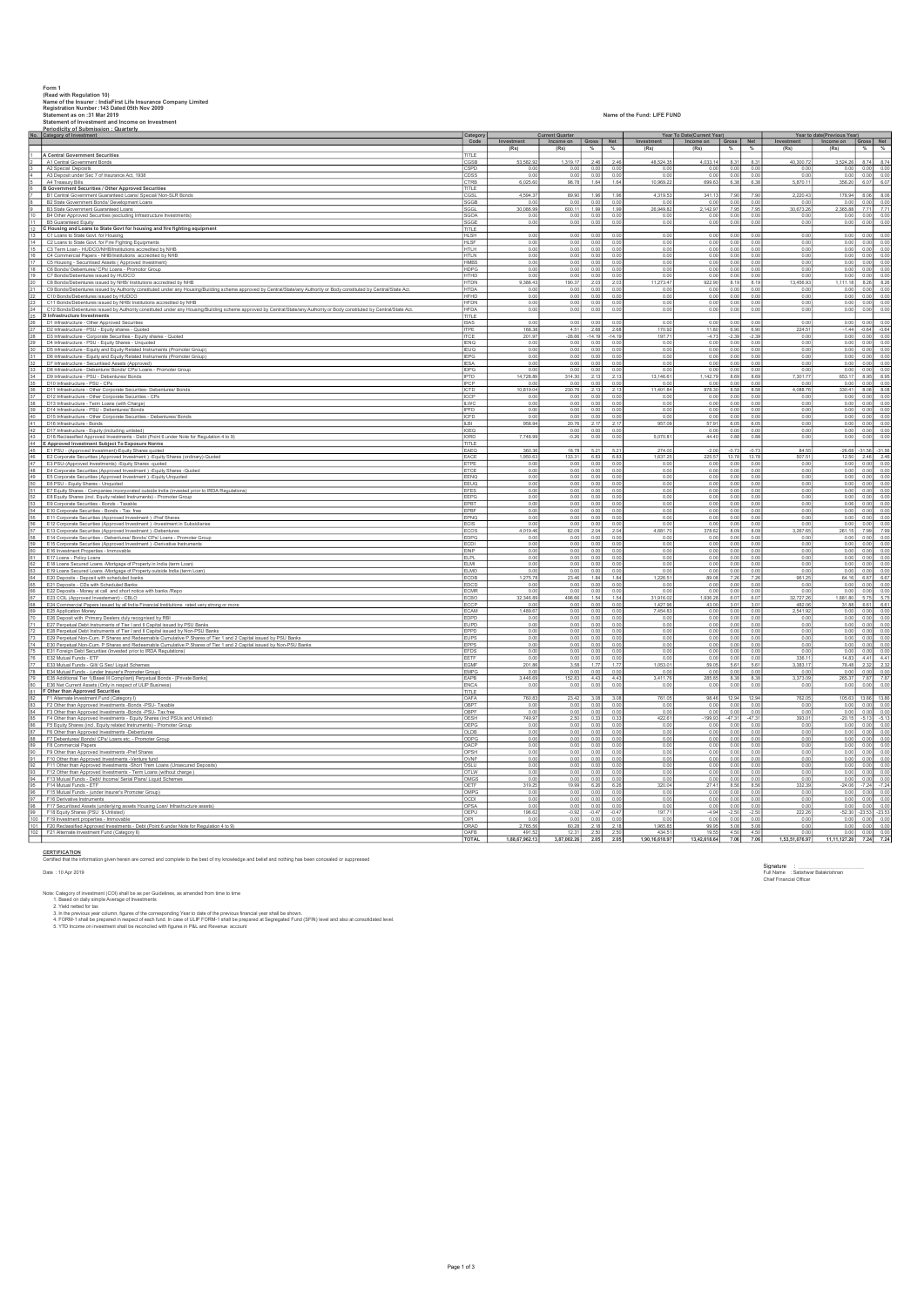|    | Form 1<br>(Read with Regulation 10)                                                                                                                                                                                    |                            |                          |                             |                           |                  |                                                |                            |                  |                  |                   |                                              |                         |                                       |
|----|------------------------------------------------------------------------------------------------------------------------------------------------------------------------------------------------------------------------|----------------------------|--------------------------|-----------------------------|---------------------------|------------------|------------------------------------------------|----------------------------|------------------|------------------|-------------------|----------------------------------------------|-------------------------|---------------------------------------|
|    | Name of the Insurer : IndiaFirst Life Insurance Company Limited                                                                                                                                                        |                            |                          |                             |                           |                  |                                                |                            |                  |                  |                   |                                              |                         |                                       |
|    | Registration Number : 143 Dated 05th Nov 2009<br>Statement as on :31 Mar 2019                                                                                                                                          |                            |                          |                             |                           |                  | Name of the Fund: LIFE FUND                    |                            |                  |                  |                   |                                              |                         |                                       |
|    | Statement of Investment and Income on Investment                                                                                                                                                                       |                            |                          |                             |                           |                  |                                                |                            |                  |                  |                   |                                              |                         |                                       |
|    | Periodicity of Submission : Quarterly<br>No. Category of Investment                                                                                                                                                    | Category<br>Code           |                          | <b>Current Quarter</b>      |                           |                  |                                                | Year To Date(Current Year) |                  |                  |                   | Year to date(Previous Year)                  |                         |                                       |
|    |                                                                                                                                                                                                                        |                            | Investment<br>(Rs)       | Income on Gross Net<br>(Rs) |                           | %                | Investment   Income on   Gross   Net  <br>(Rs) | (Rs)                       |                  |                  | (Rs)              | Investment   Income on   Gross   Net<br>(Rs) |                         | $%$ %                                 |
|    | A Central Government Securities                                                                                                                                                                                        | TITLE                      |                          |                             |                           |                  |                                                |                            |                  |                  |                   |                                              |                         |                                       |
|    | A1 Central Government Bonds<br>A2 Special Deposits                                                                                                                                                                     | CGSB<br>SPD                | 53,582.92                | 1,319.17<br>0.0             | 2.46<br>0.00              | 2.46<br>0.00     | 48,524.35                                      | 4,033.14<br>0.0            | 8.31<br>0.00     | 8.31<br>0.00     | 40,300.72         | 3,524.26                                     | 8.74<br>0.00            | 8.74<br>0.00                          |
|    | A3 Deposit under Sec 7 of Insurance Act, 1938                                                                                                                                                                          | CDSS                       | 0.01                     | 0.00                        | 0.00                      | 0.00             | 0.00                                           | 0.00                       | 0.00             | 0.00             | 0.00              | 0.00                                         | 0.00                    | $\frac{0.00}{6.07}$                   |
|    | A4 Treasury Bills<br><b>B Government Securities / Other Approved Securities</b>                                                                                                                                        | CTRB<br>TITLE              | 6,025.6                  | 98.78                       | 1.64                      | 1.64             | 10,969.22                                      | 699.63                     | 6.38             | 6.38             | 5,870.11          | 356.20                                       | 6.07                    |                                       |
|    | B1 Central Government Guaranteed Loans/ Special/ Non-SLR Bonds                                                                                                                                                         | CGSL                       | 4.594.37                 | 89.90                       | 1.96                      | 1.96             | 4.319.53                                       | 341.13                     | 7.90             | 7.90             | 2.220.43          |                                              | 178.94 8.06             | 8.06                                  |
|    | B2 State Government Bonds/ Development Loans<br>B3 State Government Guaranteed Loans                                                                                                                                   | SGGB<br><b>SGGL</b>        | 0.00<br>30.086.9         | 0.00<br>600.11              | 0.00<br>1.99              | 0.00<br>1.99     | 0.00<br>26.949.82                              | 0.00<br>2.142.97           | 0.00<br>7.95     | 0.00<br>7.95     | 0.00<br>30.673.26 | 0.00<br>2.365 88                             | 7.71                    | 0.00 0.00<br>7.71                     |
|    | 10 B4 Other Approved Securities (excluding Infrastructure Investments)                                                                                                                                                 | SGOA                       | 0.00                     | 0.00                        | 0.00                      | 0.00             | 0.00                                           | 0.00                       | 0.00             | 0.00             | 0.00              | 0.00                                         | 0.00                    | 0.00                                  |
|    | 11 B5 Guaranteed Equity                                                                                                                                                                                                | <b>SGGE</b><br>TITLE       | 0.01                     | 0.00                        | 0.00                      | 0.00             | 0.00                                           | 0.00                       | 0.00             | 0.00             | 0.00              | 0.00                                         | 0.00                    | 0.00                                  |
|    | 12 C Housing and Loans to State Govt for housing and fire fighting equipment<br>13 C1 Loans to State Govt. for Housing                                                                                                 | HLSH                       | 0.00                     | 0.00                        | 0.00                      | 0.00             | 0.00                                           |                            | 0.00 0.00        | 0.00             | 0.00              |                                              | 0.00 0.00               | 0.00                                  |
|    | 14 C2 Loans to State Govt. for Fire Fighting Equipments                                                                                                                                                                | <b>HLSF</b><br><b>HTLH</b> | 0.00<br>0.0              | 0.00<br>0.00                | 0.00<br>0.00              | 0.00<br>0.00     | 0.00<br>0.00                                   | 0.00<br>0.00               | 0.00<br>0.00     | 0.00<br>0.00     | 0.00<br>0.00      | 0.00<br>0.00                                 | 0.00<br>0.00            | 0.00<br>0.00                          |
|    | 15 C3 Term Loan - HUDCO/NHB/Institutions accredited by NHB<br>16 C4 Commercial Papers - NHB/Institutions accredited by NHB                                                                                             | HTLN                       | 0.00                     | 0.001                       | 0.00                      | 0.00             | 0.00                                           | 0.00                       | 0.00             | 0.00             | 0.00              |                                              | $0.00$ 0.00             | 0.00                                  |
|    | 17 C5 Housing - Securitised Assets (Approved Investment)                                                                                                                                                               | HMBS<br><b>HDPG</b>        | 0.00<br>0.01             | 0.00<br>0.00                | 0.00<br>0.00              | 0.00<br>0.00     | 0.00<br>0.00                                   | 0.00<br>0.00               | 0.00<br>0.00     | 0.00<br>0.00     | 0.00<br>0.00      | 0.00<br>0.00                                 | 0.00<br>0.00            | 0.00<br>0.00                          |
|    | 18 C6 Bonds/ Debentures/ CPs/ Loans - Promotor Group<br>19 C7 Bonds/Debentures issued by HUDCO                                                                                                                         | HTHD                       | 0.00                     | 0.00                        | 0.00                      | 0.00             | 0.00                                           | 0.00                       | 0.00             | 0.00             | 0.00              |                                              | 0.00 0.00               | 0.00                                  |
|    | 20 C8 Bonds/Debentures issued by NHB/ Institutions accredited by NHB                                                                                                                                                   | <b>HTDN</b><br>HTDA        | 9,388.43<br>0.0          | 190.37<br>0.00              | 2.03<br>0.00              | 2.03<br>0.00     | 11,273.47<br>0.00                              | 922.90<br>0.0              | 8.19<br>0.00     | 8.19             | 13,456.93<br>0.0  | 1,111.18                                     | 8.26<br>0.00            | 8.26<br>0.00                          |
|    | C9 Bonds/Debentures issued by Authority constituted under any Housing/Building scheme approved by Central/State/any Authority or Body constituted by Central/State Act<br>22 C10 Bonds/Debentures issued by HUDCO      | HFHD                       | 0.00                     | 0.00                        | 0.00                      | 0.00             | 0.00                                           | 0.00                       | 0.00             | 0.00             | 0.00              |                                              |                         | $0.00$ $0.00$ $0.00$                  |
|    | 23 C11 Bonds/Debentures issued by NHB/ Institutions accredited by NHB                                                                                                                                                  | <b>HFDN</b><br><b>HFDA</b> | 0.00<br>0.01             | 0.00<br>0.00                | 0.00<br>0.00              | 0.00<br>0.00     | 0.00<br>0.00                                   | 0.00<br>0.00               | 0.00<br>0.00     | 0.00<br>0.00     | 0.00<br>0.00      | 0.00<br>0.00                                 | 0.00<br>0.00            | 0.00<br>0.00                          |
|    | 24 C12 Bonds/Debentures issued by Authority constituted under any Housing/Building scheme approved by Central/State/any Authority or Body constituted by Central/State Act.<br>25 D Infrastructure Investments         | TITLE                      |                          |                             |                           |                  |                                                |                            |                  |                  |                   |                                              |                         |                                       |
|    | D1 Infrastructure - Other Approved Securities                                                                                                                                                                          | <b>ISAS</b>                | 0.0                      | 0.00                        | 0.00                      | 0.00             | 0.00                                           | 0.00                       | 0.00             | 0.00             | 0.00              | 0.00<br>$-1.44$                              | 0.00                    | 0.00                                  |
|    | 27 D2 Infrastructure - PSU - Equity shares - Quoted<br>28 D3 Infrastructure - Corporate Securities - Equity shares - Quoted                                                                                            | <b>ITPE</b><br><b>ITCE</b> | 168.3<br>201.97          | 4.51                        | 2.68<br>$-28.66$ $-14.19$ | 2.68<br>$-14.19$ | 170.92<br>197.71                               | 11.80<br>$-4.73$           | 6.90<br>$-2.39$  | 6.90<br>$-2.39$  | 224.5<br>0.00     | 0.00                                         | $-0.64$<br>0.00         | $-0.64$<br>0.00                       |
|    | 29 D4 Infrastructure - PSU - Equity Shares - Unquoted                                                                                                                                                                  | <b>IENQ</b><br><b>IEUQ</b> | 0.00<br>0.01             | 0.00<br>0.00                | 0.00<br>0.00              | 0.00<br>0.00     | 0.00<br>0.00                                   | 0.00<br>0.00               | 0.00<br>0.00     | 0.00<br>0.00     | 0.00<br>0.00      | 0.00<br>0.00                                 | 0.00<br>0.00            | 0.00<br>0.00                          |
|    | 30 D5 Infrastructure - Equity and Equity Related Instruments (Promoter Group)<br>31 D6 Infrastructure - Equity and Equity Related Instruments (Promoter Group)<br>32 D7 Infrastructure - Securitised Assets (Approved) | <b>IEPG</b>                | 0.00                     | 0.00                        | 0.00                      | 0.00             | 0.00                                           | 0.00                       | 0.00             | 0.00             | 0.00              | 0.00                                         | 0.00                    | 0.00                                  |
|    |                                                                                                                                                                                                                        | <b>IESA</b>                | 0.01                     | 0.0<br>0.00                 | 0.00                      | 0.00             | 0.00                                           | $\overline{0.0}$<br>0.00   | 0.00             | 0.00             | $\overline{0.0}$  | 0.00                                         | $-0.00$                 | 0.00                                  |
|    | 33 D8 Infrastructure - Debenture/ Bonds/ CPs/ Loans - Promoter Group<br>34 D9 Infrastructure - PSU - Debentures/ Bonds                                                                                                 | IDPG<br><b>IPTD</b>        | 0.01<br>14,728.89        | 314.30                      | 0.00<br>2.13              | 0.00<br>2.13     | 0.00<br>13,146.61                              | 1,142.79                   | 0.00<br>8.69     | 0.00<br>8.69     | 0.00<br>7,301.77  | 0.00<br>653.17                               | 0.00<br>8.95            | 0.00<br>8.95                          |
|    | 35 D10 Infrastructure - PSU - CPs                                                                                                                                                                                      | IPCP                       | 0.01                     | 0.00                        | 0.00                      | 0.00             | 0.00                                           | 0.00                       | 0.00             | 0.00             | 0.00              | 0.00                                         | 0.00                    | 0.00                                  |
|    | 36 D11 Infrastructure - Other Corporate Securities- Debentures/ Bonds<br>37 D12 Infrastructure - Other Corporate Securities - CPs                                                                                      | ICTD<br>ICCP               | 10,819.04<br>0.00        | 230.76<br>0.00              | 2.13<br>0.00              | 2.13<br>0.00     | 11,401.84<br>0.00                              | 978.30<br>0.00             | 8.58<br>0.00     | 8.58<br>0.00     | 4,088.76<br>0.00  | 0.00                                         | $330.41$ 8.08<br>0.00   | 8.08<br>0.00                          |
|    | 38 D13 Infrastructure - Term Loans (with Charge)                                                                                                                                                                       | <b>ILWC</b>                | 0.01                     | 0.00                        | 0.00                      | 0.00             | 0.00                                           | 0.00                       | 0.00             | 0.00             | 0.01              | 0.00                                         | 0.00                    | 0.00                                  |
|    | 39 D14 Infrastructure - PSU - Debentures/ Bonds<br>40 D15 Infrastructure - Other Corporate Securities - Debentures/ Bonds                                                                                              | <b>IPFD</b><br>ICFD        | 0.00<br>0.00             | 0.00<br>0.00                | 0.00<br>0.00              | 0.00<br>0.00     | 0.00<br>0.00                                   | 0.00<br>0.00               | 0.00<br>0.00     | 0.00<br>0.00     | 0.00<br>0.00      | 0.00<br>0.00                                 | 0.00<br>0.00            | 0.00<br>0.00                          |
|    | 41 D16 Infrastructure - Bonds                                                                                                                                                                                          | II RI                      | 958.94                   | 20.76                       | 2.17                      | 2.17             | 957.09                                         | 57.91                      | 6.05             | 6.05             | 0.01              | 0.00                                         | 0.00                    | 0.00                                  |
|    | 42 D17 Infrastructure - Equity (including unlisted)<br>43 D18 Reclassified Approved Investments - Debt (Point 6 under Note for Regulation 4 to 9)                                                                      | <b>IOEO</b><br>IORD        | 7,748.99                 | 0.00<br>$-0.26$             | 0.00<br>0.00              | 0.00<br>0.00     | 5,070.81                                       | 0.00<br>44.40              | 0.00<br>0.88     | 0.00<br>0.88     | 0.00<br>0.00      | 0.00                                         | 0.00 0.00               | 0.00<br>0.00 0.00                     |
|    | 44 E Approved Investment Subject To Exposure Norms                                                                                                                                                                     | TITLE                      |                          |                             |                           |                  |                                                |                            |                  |                  |                   |                                              |                         |                                       |
|    | 45 E1 PSU - (Approved Investment)-Equity Shares quoted<br>46 E2 Corporate Securities (Approved Investment ) -Equity Shares (ordinary)-Quoted                                                                           | EAEO<br>EACE               | 360.36<br>1,950.63       | 18.78<br>133.31             | 5.21<br>6.83              | 5.21<br>6.83     | 274.00<br>1,637.25                             | $-2.00$<br>225.57          | $-0.73$<br>13.78 | $-0.73$<br>13.78 | 84.55<br>507.51   | 12.50                                        |                         | $-26.68 - 31.56 - 31.56$<br>2.46 2.46 |
|    | 47 E3 PSU-(Approved Investments) - Equity Shares -quoted                                                                                                                                                               | <b>ETPE</b>                | 0.01                     | 0.0                         | 0.00                      | 0.00             | 0.01                                           | 0.00                       | 0.00             | 0.00             | 0.01              | 0.00                                         | 0.00                    | 0.00                                  |
|    | 48 E4 Corporate Securities (Approved Investment ) - Equity Shares - Quoted<br>49 E5 Corporate Securities (Approved Investment) - Equity Unquoted                                                                       | ETCE<br>EENQ               | 0.00<br>0.00             | 0.00<br>0.00                | 0.00<br>0.00              | 0.00<br>0.00     | 0.00<br>0.00                                   | 0.00<br>0.00               | 0.00<br>0.00     | 0.00<br>0.00     | 0.00<br>0.00      | 0.00<br>0.00                                 | 0.00<br>0.00            | 0.00<br>0.00                          |
|    | 60 E6 PSU - Equity Shares - Unquoted                                                                                                                                                                                   | EEUQ                       | 0.01                     | 0.00                        | 0.00                      | 0.00             | 0.00                                           | 0.0                        | 0.00             | 0.00             | 0.00              | 0.00                                         | 0.00                    | 0.00                                  |
|    | 51 E7 Equity Shares - Companies incorporated outside India (invested prior to IRDA Regulations)<br>E8 Equity Shares (incl. Equity related Instruments) - Promoter Group                                                | <b>EFES</b><br>EEPG        | 0.00<br>0.00             | 0.00<br>0.00                | 0.00<br>0.00              | 0.00<br>0.00     | 0.00<br>0.00                                   | 0.00<br>0.00               | 0.00<br>0.00     | 0.00<br>0.00     | 0.00<br>0.00      | 0.00<br>0.00                                 | 0.00<br>0.00            | 0.00<br>0.00                          |
|    | E9 Corporate Securities - Bonds - Taxable                                                                                                                                                                              | FPRT                       | 0.01                     | 0.00                        | 0.00                      | 0.00             | 0.00                                           | 0.00                       | 0.00             | 0.00             | 0.00              | 0.08                                         | 0.00                    | 0.00                                  |
|    | 54 E10 Corporate Securities - Bonds - Tax free<br>55 E11 Corporate Securities (Approved Investment ) -Pref Shares                                                                                                      | EPBF<br>EPNQ               | 0.00<br>0.00             | 0.00<br>0.00                | 0.00<br>0.00              | 0.00<br>0.00     | 0.00<br>0.00                                   | 0.00<br>0.00               | 0.00<br>0.00     | 0.00<br>0.00     | 0.00<br>0.00      | 0.00<br>0.00                                 | 0.00<br>0.00            | 0.00<br>0.00                          |
|    | E12 Corporate Securities (Approved Investment ) -Investment in Subsidiaries                                                                                                                                            |                            | 0.00                     | 0.00                        | 0.00                      | 0.00             | 0.00                                           | 0.00                       | 0.00             | 0.00             | 0.00              | 0.00                                         | 0.00                    | 0.00                                  |
|    | 57 E13 Corporate Securities (Approved Investment) -Debentures<br>58 E14 Corporate Securities - Debentures/ Bonds/ CPs/ Loans - Promoter Group                                                                          | <b>ECOS</b><br><b>EDPG</b> | 4.019.46<br>0.00         | 82.09<br>0.00               | 2.04<br>0.00              | 2.04<br>0.00     | 4.681.70<br>0.00                               | 378.62<br>0.00             | 8.09<br>0.00     | 8.09<br>0.00     | 3.267.65<br>0.00  | 0.00                                         | 261.15 7.99<br>0.00     | 7.99<br>0.00                          |
|    | E15 Corporate Securities (Approved Investment.) -Derivative Instruments<br>60 E16 Investment Properties - Immovable                                                                                                    | <b>CDI</b>                 | 0.01                     | 0.00                        | 0.00                      | 0.00             | 0.01                                           | 0.0                        | 0.00             | 0.00             | 0.00              | 0.00                                         | 0.00                    | 0.00                                  |
|    | 61 E17 Loans - Policy Loans                                                                                                                                                                                            | EINP<br>ELPL               | 0.00<br>0.00             | 0.00<br>0.00                | 0.00<br>0.00              | 0.00<br>0.00     | 0.00<br>0.00                                   | 0.00<br>0.00               | 0.00<br>0.00     | 0.00<br>0.00     | 0.00<br>0.00      | 0.00<br>0.00                                 | 0.00                    | 0.00<br>0.00 0.00                     |
|    | E18 Loans Secured Loans -Mortgage of Property in India (term Loan)                                                                                                                                                     | FLML                       | 0.00                     | 0.00                        | 0.00                      | 0.00             | 0.00                                           | 0.00                       | 0.00             | 0.00             | 0.00              | 0.00                                         | 0.00                    | 0.00                                  |
|    | 63 E19 Loans Secured Loans - Mortgage of Property outside India (term Loan)<br>64 E20 Deposits - Deposit with scheduled banks                                                                                          | ELMO<br>ECDB               | 0.00<br>1,275.78         | 0.00<br>23.46               | 0.00<br>1.84              | 0.00<br>1.84     | 0.00<br>1,226.51                               | 0.00<br>89.08              | 0.00<br>7.26     | 0.00<br>7.26     | 0.00<br>961.25    | 0.00<br>64.16                                | 0.00<br>6.67            | 0.00<br>6.67                          |
|    | 65 E21 Deposits - CDs with Scheduled Banks                                                                                                                                                                             | EDCD                       | 0.01                     | 0.00                        | 0.00                      | 0.00             | 0.00                                           | 0.0                        | 0.00             | 0.00             | 0.0               | 0.00                                         | 0.00                    | 0.00                                  |
|    | 66 E22 Deposits - Money at call and short notice with banks /Repo<br>67 E23 CCIL (Approved Investement) - CBLO                                                                                                         | ECMR<br>ECBO               | 0.00<br>32,346.89        | 0.00<br>498.66              | 0.00<br>1.54              | 0.00<br>1.54     | 0.00<br>31,916.02                              | 0.00<br>1,936.28           | 0.00<br>6.07     | 0.00<br>6.07     | 0.00<br>32,727.26 | 0.00<br>1,881.80 5.75 5.75                   | 0.00                    | 0.00                                  |
|    | 68 E24 Commercial Papers issued by all India Financial Institutions rated very strong or more                                                                                                                          | <b>FCCP</b>                | 0.00                     | 0.00                        | 0.00                      | 0.00             | 1,427.96                                       | 43.00                      | 3.01             | 3.01             | 482.06            | 31.88                                        |                         | 6.61 6.61                             |
|    | 69 E25 Application Money<br>10 E26 Deposit with Primary Dealers duly recognised by RBI                                                                                                                                 | <b>ECAM</b><br><b>EDPD</b> | 1,489.67<br>0.01         | 0.00<br>0.00                | 0.00<br>0.00              | 0.00<br>0.00     | 7.454.83<br>0.00                               | 0.00<br>0.00               | 0.00<br>0.00     | 0.00<br>0.00     | 2.541.92<br>0.00  | 0.00<br>0.00                                 | 0.00<br>0.00            | 0.00<br>0.00                          |
|    | E27 Perpetual Debt Instruments of Tier I and II Capital issued by PSU Banks<br>72 E28 Perpetual Debt Instruments of Tier I and II Capital issued by Non-PSU Banks                                                      | <b>EUPD</b><br>EPPD        | 0.00<br>0.00             | 0.00<br>0.00                | 0.00<br>0.00              | 0.00<br>0.00     | 0.00<br>0.00                                   | 0.00<br>0.00               | 0.00<br>0.00     | 0.00<br>0.00     | 0.00<br>0.00      | 0.00                                         | 0.00 0.00<br>0.00       | 0.00<br>0.00                          |
|    | 73 E29 Perpetual Non-Cum. P.Shares and Redeemable Cumulative P.Shares of Tier 1 and 2 Capital issued by PSU Banks                                                                                                      | <b>EUPS</b>                | 0.00                     | 0.00                        | 0.00                      | 0.00             | 0.00                                           | 0.00                       | 0.00             | 0.00             | 0.00              | 0.00                                         |                         | 0.00 0.00                             |
|    | 74 E30 Perpetual Non-Cum. P.Shares and Redeemable Cumulative P.Shares of Tier 1 and 2 Capital issued by Non-PSU Banks<br>75 E31 Foreign Debt Securities (Invested prior to IRDA Regulations)                           | <b>EPPS</b><br>EFDS        | 0.00<br>0.00             | 0.00<br>0.00                | 0.00<br>0.00              | 0.00<br>0.00     | 0.00<br>0.00                                   | 0.00<br>0.00               | 0.00<br>0.00     | 0.00<br>0.00     | 0.00<br>0.00      | 0.00<br>0.00                                 | 0.00<br>0.00            | 0.00<br>0.00                          |
| 76 | E32 Mutual Funds - ETF                                                                                                                                                                                                 | EETF                       | 0.00                     | 0.00                        | 0.00                      | 0.00             | 0.00                                           | 0.00                       | 0.00             | 0.00             | 336.11            | 14.83                                        | 4.41                    | 4.41                                  |
|    | T7 E33 Mutual Funds - Gilt/ G Sec/ Liquid Schemes<br>T8 E34 Mutual Funds - (under Insurer's Promoter Group)                                                                                                            | <b>FGMF</b><br><b>EMPG</b> | 201.86<br>0.00           | 3.58<br>0.001               | 1.77<br>0.00              | 1.77<br>0.00     | 1,053.01<br>0.00                               | 59.05<br>0.00              | 5.61<br>0.00     | 5.61<br>0.00     | 3,383.17<br>0.00  | 78.48<br>0.00                                | 2.32<br>0.00            | 2.32<br>0.00                          |
|    | 79 E35 Additional Tier 1(Basel III Compliant) Perpetual Bonds - [Private Banks]                                                                                                                                        | EAPB                       | 3,446.69                 | 152.83                      | 4.43                      | 4.43             | 3,411.76                                       | 285.85                     | 8.38             | 8.38             | 3,373.09          | 265.37                                       | 7.87                    | 7.87                                  |
|    | 80 E36 Net Current Assets (Only in respect of ULIP Business)<br>81 F Other than Approved Securities                                                                                                                    | <b>ENCA</b><br>TITLE       | 0.00                     | 0.00                        | 0.00                      | 0.00             | 0.00                                           | 0.00                       | 0.00             | 0.00             | 0.00              | 0.00                                         | 0.00                    | 0.00                                  |
|    | 62 F1 Alternate Investment Fund (Category I)                                                                                                                                                                           | <b>DAFA</b>                | 760.83                   | 23.42                       | 3.08                      | 3.08             | 761.05                                         | 98.46                      | 12.94            | 12.94            | 762.05            | 105.63                                       | 13.86                   | 13.86                                 |
|    | 63 F2 Other than Approved Investments -Bonds -PSU- Taxable<br>64 F3 Other than Approved Investments -Bonds -PSU- Tax free                                                                                              | OBPT                       | 0.00                     | 0.00                        | 0.00                      | 0.00             | 0.00                                           | 0.00                       | 0.00             | 0.00             | 0.00              | 0.00                                         | 0.00                    | 0.00                                  |
|    | F4 Other than Approved Investments - Equity Shares (incl PSUs and Unlisted)                                                                                                                                            | OBPF<br>DESH               | 0.00<br>749.9            | 0.00<br>2.50                | 0.00<br>0.33              | 0.00<br>0.33     | 0.00<br>422.61                                 | 0.00<br>199.93             | 0.00<br>$-47.31$ | 0.00<br>$-47.31$ | 0.00<br>393.01    | 0.00<br>$-20.15$                             | 0.00<br>$-5.13$         | 0.00<br>$-5.13$                       |
|    | 86 F5 Equity Shares (incl. Equity related Instruments) - Promoter Group<br>87 F6 Other than Approved Investments - Debentures                                                                                          | OEPG                       | 0.00                     | 0.00                        | 0.00                      | 0.00             | 0.00                                           | 0.00                       | 0.00             | 0.00             | 0.00              |                                              | 0.00 0.00               | $\frac{0.00}{0.00}$                   |
|    | 88 F7 Debentures/ Bonds/ CPs/ Loans etc. - Promoter Group                                                                                                                                                              | OLDB<br>ODPG               | 0.00<br>0.01             | 0.00<br>0.00                | 0.00<br>0.00              | 0.00<br>0.00     | 0.00<br>0.00                                   | 0.00<br>0.00               | 0.00<br>0.00     | 0.00<br>0.00     | 0.00<br>0.00      | 0.00<br>0.00                                 | 0.00<br>0.00            | 0.00                                  |
|    | 69 F8 Commercial Papers<br>90 F9 Other than Approved Investments - Pref Shares                                                                                                                                         | OACP                       | 0.00                     | 0.00                        | 0.00                      | 0.00             | 0.00                                           | 0.00                       | 0.00             | 0.00             | 0.00              |                                              | 0.00 0.00               | 0.00<br>0.00                          |
|    | F10 Other than Approved Investments -Venture fund                                                                                                                                                                      | OPSH<br><b>NNF</b>         | 0.00<br>0.01             | 0.00<br>0.00                | 0.00<br>0.00              | 0.00<br>0.00     | 0.00<br>0.00                                   | 0.00<br>0.00               | 0.00<br>0.00     | 0.00<br>0.00     | 0.00<br>0.00      | 0.00<br>0.00                                 | 0.00<br>$-0.00$         | 0.00                                  |
|    | 92 F11 Other than Approved Investments -Short Trem Loans (Unsecured Deposits)<br>93 F12 Other than Approved Investments - Term Loans (without charge)                                                                  | OSLU                       | 0.00                     | 0.00                        | 0.00                      | 0.00             | $\frac{0.00}{0.00}$                            | 0.00                       | 0.00             | 0.00             | 0.00              |                                              | 0.00 0.00               | $\frac{0.00}{0.00}$                   |
|    | F13 Mutual Funds - Debt/ Income/ Serial Plans/ Liquid Schemes                                                                                                                                                          | OTLW<br><b>DMGS</b>        | 0.01<br>0.0              | 0.00<br>0.00                | 0.00<br>0.00              | 0.00<br>0.00     | 0.00                                           | 0.00<br>0.0                | 0.00<br>0.00     | 0.00<br>0.00     | 0.00<br>0.00      | 0.00<br>0.00                                 | 0.00<br>0.00            | 0.00                                  |
|    | 95 F14 Mutual Funds - ETF<br>F15 Mutual Funds - (under Insurer's Promoter Group)                                                                                                                                       | OETF                       | 319.25                   | 19.99                       | 6.26                      | 6.26             | 320.04                                         | 27.41                      | 8.56             | 8.56<br>0.00     | 332.39            |                                              | $-24.06 - 7.24$<br>0.00 | $-7.24$<br>0.00                       |
|    | F16 Derivative Instruments                                                                                                                                                                                             | OMPG<br>CDI                | 0.00<br>0.0              | 0.00<br>0.00                | 0.00<br>0.00              | 0.00<br>0.00     | 0.00<br>0.01                                   | 0.00<br>0.0                | 0.00<br>0.00     | 0.00             | 0.00<br>0.01      | 0.00<br>0.00                                 | 0.00                    | 0.00                                  |
|    | 98 F17 Securitised Assets (underlying assets Housing Loan/ Infrastructure assets)<br>99 F18 Equity Shares (PSU \$ Unlisted)                                                                                            | OPSA                       | 0.00                     | 0.00                        | 0.00                      | 0.00             | 0.00                                           | 0.00                       | 0.00             | 0.00             | 0.00              |                                              | 0.00 0.00               | 0.00                                  |
|    | 100 F19 Investment properties - Immovable                                                                                                                                                                              | OEPU<br>JPI                | 196.62<br>0.0            | $-0.92$<br>0.00             | $-0.47$<br>0.00           | $-0.47$<br>0.00  | 197.71<br>0.00                                 | $-4.94$<br>0.00            | $-2.50$<br>0.00  | $-2.50$<br>0.00  | 222.26<br>0.00    | 0.00                                         | 0.00                    | $-52.30 -23.53 -23.53$<br>0.00        |
|    | 101 F20 Reclassified Approved Investments - Debt (Point 6 under Note for Regulation 4 to 9)<br>F21 Alternate Investment Fund (Category II)                                                                             | ORAD                       | 2.765.56                 | 60.28<br>12.31              | 2.18<br>2.50              | 2.18<br>2.50     | 1.965.85<br>434.51                             | 99.95<br>19.55             | 5.08<br>4.50     | 5.08<br>4.50     | 0.00<br>0.00      | 0.00                                         | 0.00 0.00<br>0.00       | $\frac{0.00}{0.00}$                   |
|    |                                                                                                                                                                                                                        | OAFB<br><b>TOTAL</b>       | 491.52<br>1.88.67.962.13 | 3,87,002.26 2.05 2.05       |                           |                  | 1.90.16.618.97                                 | 13,42,618.64 7.06          |                  | 7.06             | 1.53,51,076.97    | 11, 11, 127. 20 7. 24 7. 24                  |                         |                                       |

CERTIFICATION<br>Certified that the information given herein are correct and complete to the best of my knowledge and belief and nothing has been concealed or suppressed

Signature :<br>Full Name : Satishwar Balakrishnan<br>Chief Financial Officer

Note: Category of investment (COI) shall be as per Guidelines, as amended from time to time<br>1. The search of the tax of the state of the corresponding Year to date of the previous financial year shall be shown.<br>3. In the p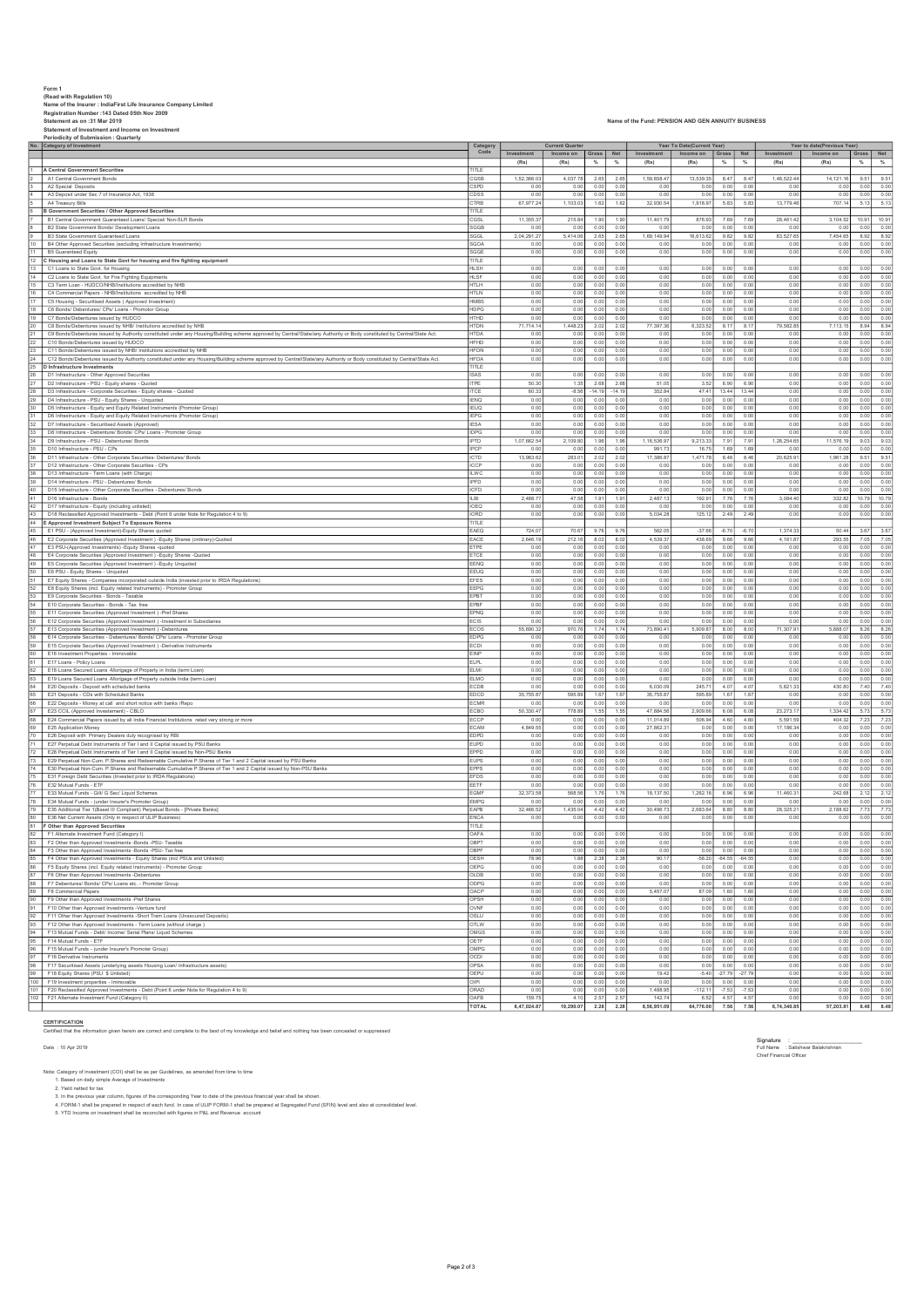Form 1<br>|Read with Regulation 10)<br>Rene of the Insurer : IndiaFirst Life Insurance Company Limited<br>Statement as on :31 Mar 2019<br>Statement as on :31 Mar 2019<br>Statement as on :31 Mar 2019<br>Periodicity of Submission : Quarterly No. Category of Investment Investment Income on Gross Net Investment Income on Gross Net Investment Income on Gross Net (Rs) (Rs) % % (Rs) (Rs) % % (Rs) (Rs) % % 1 A Central Government Securities<br>2 A 1 Central Government Bonds CGSB 1,52,366.03 4,037.78 2.65 1,59,858.47 1,539.35 8.47 1,852.244 14,121.16 9.51 9.51<br>2 A 1 Central Government Bonds 4,121.16 9.51 9.51 9.51 9.51 9.51 9.51 2 A1 Tuesda Deposits Contrast Contrast Contrast Contrast Contrast Contrast Contrast Contrast Contrast Contrast Contrast Contrast Contrast Contrast Contrast Contrast Contrast Contrast Contrast Contrast Contrast Contrast Co 4 A3 Deposit under Sec 7 of Insurance Act, 1938 CDSS 0.00 0.00 0.00 0.00 0.00 0.00 0.00 0.00 0.00 0.00 0.00 0.00 5 A4 Treasury Bills CTRB 67,977.24 1,103.03 1.62 1.62 32,930.54 1,918.97 5.83 5.83 13,779.46 707.14 5.13 5.13 6 B Government Securities / Other Approved Securities TITLE 7 B1 Central Government Guaranteed Loans/ Special/ Non-SLR Bonds CGSL 11,355.37 215.84 1.90 1.90 11,401.79 876.93 7.69 7.69 28,461.42 3,104.52 10.91 10.91 8 B2 State Government Bonds/ Development Loans SGGB 0.00 0.00 0.00 0.00 0.00 0.00 0.00 0.00 0.00 0.00 0.00 0.00 9 B3 State Government Guaranteed Loans SGGL 2,04,291.27 5,414.06 2.65 2.65 1,69,149.94 16,613.62 9.82 9.82 83,527.65 7,454.65 8.92 8.92 10 B4 Other Approved Securities (excluding Infrastructure Investments) SGOA 0.00 0.00 0.00 0.00 0.00 0.00 0.00 0.00 0.00 0.00 0.00 0.00 11 B5 Guaranteed Equity Scales and the state Govt for housing and fire fighting equipment the state of the colored the colored of the colored colored and fire fighting equipment the colored colored and fire fighting equipm 13 C1 Loans to State Govt. for Housing HLSH 0.00 0.00 0.00 0.00 0.00 0.00 0.00 0.00 0.00 0.00 0.00 0.00 14 C2 Loans to State Govt. for Fire Fighting Equipments HLSF 0.00 0.00 0.00 0.00 0.00 0.00 0.00 0.00 0.00 0.00 0.00 0.00 15 C3 Term Loan - HUDCO/NHB/Institutions accredited by NHB HTLH 0.00 0.00 0.00 0.00 0.00 0.00 0.00 0.00 0.00 0.00 0.00 0.00 16 C4 Commercial Papers - NHB/Institutions accredited by NHB HTLN 0.00 0.00 0.00 0.00 0.00 0.00 0.00 0.00 0.00 0.00 0.00 0.00 17 C5 Housing - Securitised Assets ( Approved Investment) HMBS 0.00 0.00 0.00 0.00 0.00 0.00 0.00 0.00 0.00 0.00 0.00 0.00 18 C6 Bonds/ Debentures/ CPs/ Loans - Promotor Group HDPG 0.00 0.00 0.00 0.00 0.00 0.00 0.00 0.00 0.00 0.00 0.00 0.00 19 C7 Bonds/Debentures issued by HUDCO HTHD 0.00 0.00 0.00 0.00 0.00 0.00 0.00 0.00 0.00 0.00 0.00 0.00 20 C8 Bonds/Debentures issued by NHB/ Institutions accredited by NHB HTDN 71,714.14 1,448.23 2.02 2.02 77,397.36 6,323.52 8.17 8.17 79,582.85 7,113.15 8.94 8.94 21 C9 Bonds/Debentures issued by Authority constituted under any Housing/Building scheme approved by Central/State/any Authority or Body constituted by Central/State Act. HTDA 0.00 0.00 0.00 0.00 0.00 0.00 0.00 0.00 0.00 0.00 0.00 0.00 22 C10 Bonds/Debentures issued by HUDCO HFHD 0.00 0.00 0.00 0.00 0.00 0.00 0.00 0.00 0.00 0.00 0.00 0.00 23 C11.Bonda/Debenutes issued by NHB/Institutions accedited by NHB<br>24 C12.Bonda/Debenutes issued by MHB/Instituted under any Housing/Building scheme approved by Central/State/any Authority or Body Constituted by Central/S 28 D3 Infrastructure - Corporate Securities - Equity shares - Quoted ITCE 60.33 -8.56 -14.19 -14.19 352.84 47.41 13.44 13.44 0.00 0.00 0.00 0.00 29 D4 Infrastructure - PSU - Equity Shares - Unquoted IENQ 0.00 0.00 0.00 0.00 0.00 0.00 0.00 0.00 0.00 0.00 0.00 0.00 30 D5 Infrastructure - Equity and Equity Related Instruments (Promoter Group) IEUQ 0.00 0.00 0.00 0.00 0.00 0.00 0.00 0.00 0.00 0.00 0.00 0.00 31 D6 Infrastructure - Equity and Equity Related Instruments (Promoter Group) IEPG 0.00 0.00 0.00 0.00 0.00 0.00 0.00 0.00 0.00 0.00 0.00 0.00 32 D7 Infrastructure - Securitised Assets (Approved) IESA 0.00 0.00 0.00 0.00 0.00 0.00 0.00 0.00 0.00 0.00 0.00 0.00 33 D8 Infrastructure - Debenture/ Bonds/ CPs/ Loans - Promoter Group IDPG 0.00 0.00 0.00 0.00 0.00 0.00 0.00 0.00 0.00 0.00 0.00 0.00 34 D9 Infrastructure - PSU - Debentures/ Bonds IPTD 1,07,662.54 2,109.80 1.96 1.96 1,16,536.97 9,213.33 7.91 7.91 1,28,254.65 11,576.19 9.03 9.03 35 D10 Infrastructure - PSU - CPs IPCP 0.00 0.00 0.00 0.00 991.73 16.75 1.69 1.69 0.00 0.00 0.00 0.00 36 D11 Infrastructure - Other Corporate Securities- Debentures/ Bonds ICTD 13,983.62 283.01 2.02 2.02 17,386.87 1,471.78 8.46 8.46 20,625.91 1,961.28 9.51 9.51 37 D12 Infrastructure - Other Corporate Securities - CPs ICCP 0.00 0.00 0.00 0.00 0.00 0.00 0.00 0.00 0.00 0.00 0.00 0.00 38 D13 Infrastructure - Term Loans (with Charge) ILWC 0.00 0.00 0.00 0.00 0.00 0.00 0.00 0.00 0.00 0.00 0.00 0.00 39 D14 Infrastructure - PSU - Debentures/ Bonds IPFD 0.00 0.00 0.00 0.00 0.00 0.00 0.00 0.00 0.00 0.00 0.00 0.00 40 D15 Infrastructure - Other Corporate Securities - Debentures/ Bonds ICFD 0.00 0.00 0.00 0.00 0.00 0.00 0.00 0.00 0.00 0.00 0.00 0.00 41 D16 Infrastructure - Bonds ILBI 2,488.77 47.58 1.91 1.91 2,487.13 192.91 7.76 7.76 3,084.40 332.82 10.79 10.79 42 D17 Infrastructure - Equity (including unlisted) IOEQ 0.00 0.00 0.00 0.00 0.00 0.00 0.00 0.00 0.00 0.00 0.00 0.00 43 D18 Reclassified Approved Investments - Debt (Point 6 under Note for Regulation 4 to 9) IORD 0.00 0.00 0.00 0.00 5,034.28 125.12 2.49 2.49 0.00 0.00 0.00 0.00 44 E Approved Investment Subject To Exposure Norms TITLE 45 E1 PSU - (Approved Investment)-Equity Shares quoted EAEQ 724.07 70.67 9.76 9.76 562.05 -37.66 -6.70 -6.70 1,374.33 50.44 3.67 3.67 46 E2 Corporate Securities (Approved Investment ) -Equity Shares (ordinary)-Quoted EACE 2,646.19 212.16 8.02 8.02 4,539.37 438.69 9.66 9.66 4,161.87 293.55 7.05 7.05 47 E3 PSU-(Approved Investments) -Equity Shares -quoted ETPE 0.00 0.00 0.00 0.00 0.00 0.00 0.00 0.00 0.00 0.00 0.00 0.00 48 E4 Corporate Securities (Approved Investment ) -Equity Shares -Quoted ETCE 0.00 0.00 0.00 0.00 0.00 0.00 0.00 0.00 0.00 0.00 0.00 0.00 49 E5 Corporate Securities (Approved Investment ) -Equity Unquoted EENQ 0.00 0.00 0.00 0.00 0.00 0.00 0.00 0.00 0.00 0.00 0.00 0.00 50 E6 PSU - Equity Shares - Unquoted EEUQ 0.00 0.00 0.00 0.00 0.00 0.00 0.00 0.00 0.00 0.00 0.00 0.00 51 E7 Equity Shares - Companies incorporated outside India (invested prior to IRDA Regulations) EFES 0.00 0.00 0.00 0.00 0.00 0.00 0.00 0.00 0.00 0.00 0.00 0.00 52 E8 Equity Shares (incl. Equity related Instruments) - Promoter Group EEPG 0.00 0.00 0.00 0.00 0.00 0.00 0.00 0.00 0.00 0.00 0.00 0.00 53 E9 Corporate Securities - Bonds - Taxable EPBT 0.00 0.00 0.00 0.00 0.00 0.00 0.00 0.00 0.00 0.00 0.00 0.00 54 E11 Conportel Securities Bonds Tax fee tool and the securities Perfect of the Securities (2012) 2012 10:00<br>35 E12 Conportel Securities (Approved Investment) -Pref Shares<br>35 E12 Conportel Securities (Approved Investment - E15 Corporate Securities (Approved Investment ) -Denembers<br>59 E15 Corporate Securities Debenities Debenities Corporative Instruments include that instruments include that is a component of the corporate include that is 60 E16 Investment Properties - Immovable EINP 0.00 0.00 0.00 0.00 0.00 0.00 0.00 0.00 0.00 0.00 0.00 0.00 61 E17 Loans - Policy Loans ELPL 0.00 0.00 0.00 0.00 0.00 0.00 0.00 0.00 0.00 0.00 0.00 0.00 62 E18 Loans Secured Loans -Mortgage of Property in India (term Loan) ELMI 0.00 0.00 0.00 0.00 0.00 0.00 0.00 0.00 0.00 0.00 0.00 0.00 63 E19 Loans Secured Loans -Mortgage of Property outside India (term Loan) ELMO 0.00 0.00 0.00 0.00 0.00 0.00 0.00 0.00 0.00 0.00 0.00 0.00 64 E20 Deposits - Deposit with scheduled banks ECDB 0.00 0.00 0.00 0.00 6,030.09 245.71 4.07 4.07 5,821.33 430.80 7.40 7.40 65 E21 Deposits - CDs with Scheduled Banks EDCD 35,755.87 595.89 1.67 1.67 35,755.87 595.89 1.67 1.67 0.00 0.00 0.00 0.00 66 E22 Deposits - Money at call and short notice with banks /Repo ECMR 0.00 0.00 0.00 0.00 0.00 0.00 0.00 0.00 0.00 0.00 0.00 0.00 67 E23 CCIL (Approved Investement) - CBLO ECBO 50,330.47 778.89 1.55 1.55 47,884.56 2,909.66 6.08 6.08 23,273.17 1,334.42 5.73 5.73 68 E24 Commercial Papers issued by all India Financial Institutions rated very strong or more ECCP 0.00 0.00 0.00 0.00 11,014.89 506.94 4.60 4.60 5,591.59 404.32 7.23 7.23 69 E25 Application Money ECAM 4,849.55 0.00 0.00 0.00 27,862.31 0.00 0.00 0.00 17,186.34 0.00 0.00 0.00 70 E26 Deposit with Primary Dealers duly recognised by RBI EDPD 0.00 0.00 0.00 0.00 0.00 0.00 0.00 0.00 0.00 0.00 0.00 0.00 71 E27 Perpetual Debt Instruments of Tier I and II Capital issued by PSU Banks EUPD 0.00 0.00 0.00 0.00 0.00 0.00 0.00 0.00 0.00 0.00 0.00 0.00 72 E28 Perpetual Debt Instruments of Tier I and II Capital issued by Non-PSU Banks EPPD 0.00 0.00 0.00 0.00 0.00 0.00 0.00 0.00 0.00 0.00 0.00 0.00 73 E29 Perpetual Non-Cum. P.Shares and Redeemable Cumulative P.Shares of Tier 1 and 2 Capital issued by PSU Banks EUPS 0.00 0.00 0.00 0.00 0.00 0.00 0.00 0.00 0.00 0.00 0.00 0.00 74 E30 Perpetual Non-Cum. P.Shares and Redeemable Cumulative P.Shares of Tier 1 and 2 Capital issued by Non-PSU Banks EPPS 0.00 0.00 0.00 0.00 0.00 0.00 0.00 0.00 0.00 0.00 0.00 0.00 75 E31 Foreign Debt Securities (Invested prior to IRDA Regulations) EFDS 0.00 0.00 0.00 0.00 0.00 0.00 0.00 0.00 0.00 0.00 0.00 0.00 76 E32 Mutual Funds - ETF EETF 0.00 0.00 0.00 0.00 0.00 0.00 0.00 0.00 0.00 0.00 0.00 0.00 77 E33 Mutual Funds - Gilt/ G Sec/ Liquid Schemes EGMF 32,373.58 568.56 1.76 1.76 18,137.50 1,262.16 6.96 6.96 11,460.31 242.68 2.12 2.12 78 E34 Mutual Funds - (under Insurer's Promoter Group) EMPG 0.00 0.00 0.00 0.00 0.00 0.00 0.00 0.00 0.00 0.00 0.00 0.00 79 E35 Additional Tier 1(Basel III Compliant) Perpetual Bonds - [Private Banks] EAPB 32,466.52 1,435.04 4.42 4.42 30,496.73 2,683.64 8.80 8.80 28,325.21 2,188.62 7.73 7.73 80 E36 Net Current Assets (Only in respect of ULIP Business) ENCA 0.00 0.00 0.00 0.00 0.00 0.00 0.00 0.00 0.00 0.00 0.00 0.00 81 F Other than Approved Securities TITLE 82 F1 Alternate Investment Fund (Category I) OAFA 0.00 0.00 0.00 0.00 0.00 0.00 0.00 0.00 0.00 0.00 0.00 0.00 83 F2 Other than Approved Investments -Bonds -PSU- Taxable OBPT 0.00 0.00 0.00 0.00 0.00 0.00 0.00 0.00 0.00 0.00 0.00 0.00 84 F3 Other than Approved Investments -Bonds -PSU- Tax free OBPF 0.00 0.00 0.00 0.00 0.00 0.00 0.00 0.00 0.00 0.00 0.00 0.00 85 F4 Other than Approved Investments - Equity Shares (incl PSUs and Unlisted) OESH 78.96 1.88 2.38 2.38 90.17 -58.20 -64.55 -64.55 0.00 0.00 0.00 0.00  $\frac{87}{27} + \frac{176 \times 20}{170 \times 20 \times 10^{-20} \times 10^{-20} \times 10^{-20} \times 10^{-20} \times 10^{-20} \times 10^{-20} \times 10^{-20} \times 10^{-20} \times 10^{-20} \times 10^{-20} \times 10^{-20} \times 10^{-20} \times 10^{-20} \times 10^{-20} \times 10^{-20} \times 10^{-20} \times 10^{-20} \times 10^{-20} \times 10^{-20} \times 10^{-20} \times 10^{-20} \$ Category Code Current Quarter **Year To Date(Current Year)** Year to date(Previous Year)

## CERTIFICATION

.<br>Certified that the information are correct and complete to the best of my knowledge and belief and nothing has been concealed or sup

Notic Category of Investment (COI) shall be as per Guidelines, as amended from time to time<br>1. Stated on daily simple Average of Investments<br>3. Yield netted for tax .<br>3. In the previous year column, figures of the correspo

TOTAL 8,47,024.87 19,290.07 2.28 2.28 8,56,951.09 64,776.00 7.56 7.56 6,74,340.85 57,203.81 8.48 8.48